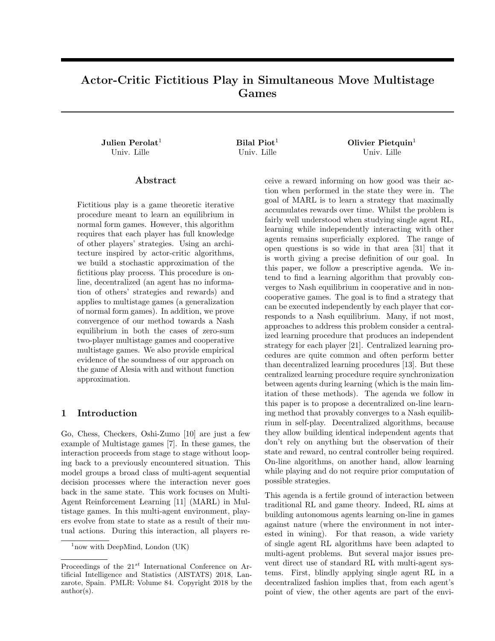# Actor-Critic Fictitious Play in Simultaneous Move Multistage Games

Julien Perolat<sup>1</sup>  $Bilal Piot<sup>1</sup>$  Olivier Pietquin<sup>1</sup> Univ. Lille Univ. Lille Univ. Lille

### Abstract

Fictitious play is a game theoretic iterative procedure meant to learn an equilibrium in normal form games. However, this algorithm requires that each player has full knowledge of other players' strategies. Using an architecture inspired by actor-critic algorithms, we build a stochastic approximation of the fictitious play process. This procedure is online, decentralized (an agent has no information of others' strategies and rewards) and applies to multistage games (a generalization of normal form games). In addition, we prove convergence of our method towards a Nash equilibrium in both the cases of zero-sum two-player multistage games and cooperative multistage games. We also provide empirical evidence of the soundness of our approach on the game of Alesia with and without function approximation.

## 1 Introduction

Go, Chess, Checkers, Oshi-Zumo [10] are just a few example of Multistage games [7]. In these games, the interaction proceeds from stage to stage without looping back to a previously encountered situation. This model groups a broad class of multi-agent sequential decision processes where the interaction never goes back in the same state. This work focuses on Multi-Agent Reinforcement Learning [11] (MARL) in Multistage games. In this multi-agent environment, players evolve from state to state as a result of their mutual actions. During this interaction, all players re-

ceive a reward informing on how good was their action when performed in the state they were in. The goal of MARL is to learn a strategy that maximally accumulates rewards over time. Whilst the problem is fairly well understood when studying single agent RL, learning while independently interacting with other agents remains superficially explored. The range of open questions is so wide in that area [31] that it is worth giving a precise definition of our goal. In this paper, we follow a prescriptive agenda. We intend to find a learning algorithm that provably converges to Nash equilibrium in cooperative and in noncooperative games. The goal is to find a strategy that can be executed independently by each player that corresponds to a Nash equilibrium. Many, if not most, approaches to address this problem consider a centralized learning procedure that produces an independent strategy for each player [21]. Centralized learning procedures are quite common and often perform better than decentralized learning procedures [13]. But these centralized learning procedure require synchronization between agents during learning (which is the main limitation of these methods). The agenda we follow in this paper is to propose a decentralized on-line learning method that provably converges to a Nash equilibrium in self-play. Decentralized algorithms, because they allow building identical independent agents that don't rely on anything but the observation of their state and reward, no central controller being required. On-line algorithms, on another hand, allow learning while playing and do not require prior computation of possible strategies.

This agenda is a fertile ground of interaction between traditional RL and game theory. Indeed, RL aims at building autonomous agents learning on-line in games against nature (where the environment in not interested in wining). For that reason, a wide variety of single agent RL algorithms have been adapted to multi-agent problems. But several major issues prevent direct use of standard RL with multi-agent systems. First, blindly applying single agent RL in a decentralized fashion implies that, from each agent's point of view, the other agents are part of the envi-

 $1$ now with DeepMind, London (UK)

Proceedings of the  $21^{st}$  International Conference on Artificial Intelligence and Statistics (AISTATS) 2018, Lanzarote, Spain. PMLR: Volume 84. Copyright 2018 by the author(s).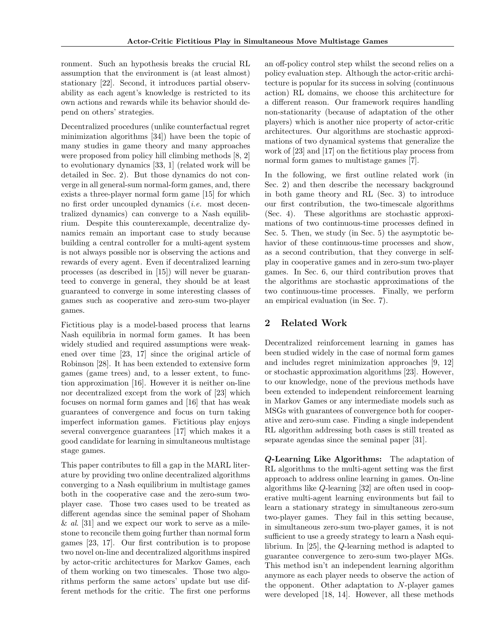ronment. Such an hypothesis breaks the crucial RL assumption that the environment is (at least almost) stationary [22]. Second, it introduces partial observability as each agent's knowledge is restricted to its own actions and rewards while its behavior should depend on others' strategies.

Decentralized procedures (unlike counterfactual regret minimization algorithms [34]) have been the topic of many studies in game theory and many approaches were proposed from policy hill climbing methods [8, 2] to evolutionary dynamics [33, 1] (related work will be detailed in Sec. 2). But those dynamics do not converge in all general-sum normal-form games, and, there exists a three-player normal form game [15] for which no first order uncoupled dynamics (i.e. most decentralized dynamics) can converge to a Nash equilibrium. Despite this counterexample, decentralize dynamics remain an important case to study because building a central controller for a multi-agent system is not always possible nor is observing the actions and rewards of every agent. Even if decentralized learning processes (as described in [15]) will never be guaranteed to converge in general, they should be at least guaranteed to converge in some interesting classes of games such as cooperative and zero-sum two-player games.

Fictitious play is a model-based process that learns Nash equilibria in normal form games. It has been widely studied and required assumptions were weakened over time [23, 17] since the original article of Robinson [28]. It has been extended to extensive form games (game trees) and, to a lesser extent, to function approximation [16]. However it is neither on-line nor decentralized except from the work of [23] which focuses on normal form games and [16] that has weak guarantees of convergence and focus on turn taking imperfect information games. Fictitious play enjoys several convergence guarantees [17] which makes it a good candidate for learning in simultaneous multistage stage games.

This paper contributes to fill a gap in the MARL literature by providing two online decentralized algorithms converging to a Nash equilibrium in multistage games both in the cooperative case and the zero-sum twoplayer case. Those two cases used to be treated as different agendas since the seminal paper of Shoham  $\&$  al. [31] and we expect our work to serve as a milestone to reconcile them going further than normal form games [23, 17]. Our first contribution is to propose two novel on-line and decentralized algorithms inspired by actor-critic architectures for Markov Games, each of them working on two timescales. Those two algorithms perform the same actors' update but use different methods for the critic. The first one performs an off-policy control step whilst the second relies on a policy evaluation step. Although the actor-critic architecture is popular for its success in solving (continuous action) RL domains, we choose this architecture for a different reason. Our framework requires handling non-stationarity (because of adaptation of the other players) which is another nice property of actor-critic architectures. Our algorithms are stochastic approximations of two dynamical systems that generalize the work of [23] and [17] on the fictitious play process from normal form games to multistage games [7].

In the following, we first outline related work (in Sec. 2) and then describe the necessary background in both game theory and RL (Sec. 3) to introduce our first contribution, the two-timescale algorithms (Sec. 4). These algorithms are stochastic approximations of two continuous-time processes defined in Sec. 5. Then, we study (in Sec. 5) the asymptotic behavior of these continuous-time processes and show, as a second contribution, that they converge in selfplay in cooperative games and in zero-sum two-player games. In Sec. 6, our third contribution proves that the algorithms are stochastic approximations of the two continuous-time processes. Finally, we perform an empirical evaluation (in Sec. 7).

# 2 Related Work

Decentralized reinforcement learning in games has been studied widely in the case of normal form games and includes regret minimization approaches [9, 12] or stochastic approximation algorithms [23]. However, to our knowledge, none of the previous methods have been extended to independent reinforcement learning in Markov Games or any intermediate models such as MSGs with guarantees of convergence both for cooperative and zero-sum case. Finding a single independent RL algorithm addressing both cases is still treated as separate agendas since the seminal paper [31].

Q-Learning Like Algorithms: The adaptation of RL algorithms to the multi-agent setting was the first approach to address online learning in games. On-line algorithms like Q-learning [32] are often used in cooperative multi-agent learning environments but fail to learn a stationary strategy in simultaneous zero-sum two-player games. They fail in this setting because, in simultaneous zero-sum two-player games, it is not sufficient to use a greedy strategy to learn a Nash equilibrium. In [25], the Q-learning method is adapted to guarantee convergence to zero-sum two-player MGs. This method isn't an independent learning algorithm anymore as each player needs to observe the action of the opponent. Other adaptation to N-player games were developed [18, 14]. However, all these methods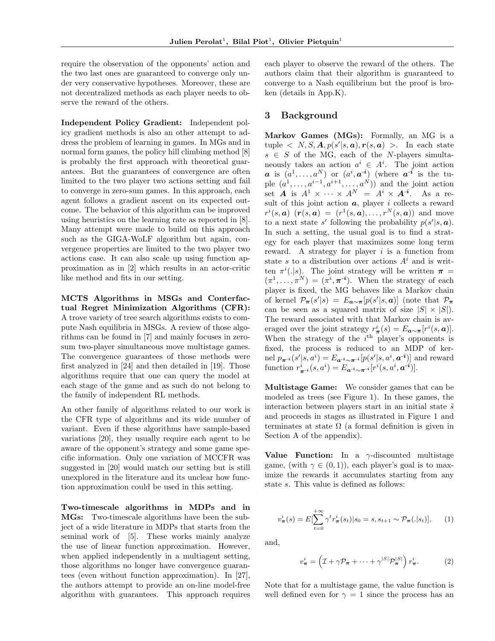require the observation of the opponents' action and the two last ones are guaranteed to converge only under very conservative hypotheses. Moreover, these are not decentralized methods as each player needs to observe the reward of the others.

Independent Policy Gradient: Independent policy gradient methods is also an other attempt to address the problem of learning in games. In MGs and in normal form games, the policy hill climbing method  $[8]$ is probably the first approach with theoretical guarantees. But the guarantees of convergence are often limited to the two player two actions setting and fail to converge in zero-sum games. In this approach, each agent follows a gradient ascent on its expected outcome. The behavior of this algorithm can be improved using heuristics on the learning rate as reported in [8]. Many attempt were made to build on this approach such as the GIGA-WoLF algorithm but again, convergence properties are limited to the two player two actions case. It can also scale up using function approximation as in [2] which results in an actor-critic like method and fits in our setting.

MCTS Algorithms in MSGs and Conterfactual Regret Minimization Algorithms (CFR): A trove variety of tree search algorithms exists to compute Nash equilibria in MSGs. A review of those algorithms can be found in [7] and mainly focuses in zerosum two-player simultaneous move multistage games. The convergence guarantees of those methods were first analyzed in [24] and then detailed in [19]. Those algorithms require that one can query the model at each stage of the game and as such do not belong to the family of independent RL methods.

An other family of algorithms related to our work is the CFR type of algorithms and its wide number of variant. Even if these algorithms have sample-based variations [20], they usually require each agent to be aware of the opponent's strategy and some game specific information. Only one variation of MCCFR was suggested in [20] would match our setting but is still unexplored in the literature and its unclear how function approximation could be used in this setting.

Two-timescale algorithms in MDPs and in MGs: Two-timescale algorithms have been the subject of a wide literature in MDPs that starts from the seminal work of [5]. These works mainly analyze the use of linear function approximation. However, when applied independently in a multiagent setting, those algorithms no longer have convergence guarantees (even without function approximation). In [27], the authors attempt to provide an on-line model-free algorithm with guarantees. This approach requires each player to observe the reward of the others. The authors claim that their algorithm is guaranteed to converge to a Nash equilibrium but the proof is broken (details in App.K).

#### 3 Background

Markov Games (MGs): Formally, an MG is a tuple  $\langle N, S, \mathbf{A}, p(s' | s, \boldsymbol{a}), r(s, \boldsymbol{a}) \rangle$ . In each state  $s \in S$  of the MG, each of the N-players simultaneously takes an action  $a^i \in A^i$ . The joint action  $a$  is  $(a^1, \ldots, a^N)$  or  $(a^i, a^{-i})$  (where  $a^{-i}$  is the tuple  $(a^1, \ldots, a^{i-1}, a^{i+1}, \ldots, a^N)$  and the joint action set  $A$  is  $A^1 \times \cdots \times A^N = A^i \times A^{-i}$ . As a result of this joint action  $a$ , player i collects a reward  $r^i(s, a)$   $(\mathbf{r}(s, a) = (r^1(s, a), \dots, r^N(s, a))$  and move to a next state s' following the probability  $p(s'|s, a)$ . In such a setting, the usual goal is to find a strategy for each player that maximizes some long term reward. A strategy for player  $i$  is a function from state s to a distribution over actions  $A^i$  and is written  $\pi^{i}(.|s)$ . The joint strategy will be written  $\pi =$  $(\pi^1, \ldots, \pi^N) = (\pi^i, \pi^{-i}).$  When the strategy of each player is fixed, the MG behaves like a Markov chain of kernel  $\mathcal{P}_{\pi}(s'|s) = E_{a \sim \pi}[p(s'|s,a)]$  (note that  $\mathcal{P}_{\pi}$ can be seen as a squared matrix of size  $|S| \times |S|$ . The reward associated with that Markov chain is averaged over the joint strategy  $r^i_{\pi}(s) = E_{\mathbf{a} \sim \pi}[r^i(s, \mathbf{a})].$ When the strategy of the  $i<sup>th</sup>$  player's opponents is fixed, the process is reduced to an MDP of kernel  $p_{\boldsymbol{\pi}^{-i}}(s'|s,a^i) = E_{\boldsymbol{a}^{-i}\sim \boldsymbol{\pi}^{-i}}[p(s'|s,a^i,\boldsymbol{a}^{-i})]$  and reward function  $r^i_{\pi^{-i}}(s, a^i) = E_{a^{-i} \sim \pi^{-i}}[r^i(s, a^i, a^{-i})].$ 

Multistage Game: We consider games that can be modeled as trees (see Figure 1). In these games, the interaction between players start in an initial state  $\tilde{s}$ and proceeds in stages as illustrated in Figure 1 and terminates at state  $\Omega$  (a formal definition is given in Section A of the appendix).

Value Function: In a  $\gamma$ -discounted multistage game, (with  $\gamma \in (0,1)$ ), each player's goal is to maximize the rewards it accumulates starting from any state s. This value is defined as follows:

$$
v_{\pi}^{i}(s) = E[\sum_{t=0}^{+\infty} \gamma^{t} r_{\pi}^{i}(s_{t})|s_{0} = s, s_{t+1} \sim \mathcal{P}_{\pi}(.|s_{t})], \qquad (1)
$$

and,

$$
v_{\boldsymbol{\pi}}^i = \left(\mathcal{I} + \gamma \mathcal{P}_{\boldsymbol{\pi}} + \dots + \gamma^{|S|} \mathcal{P}_{\boldsymbol{\pi}}^{|S|}\right) r_{\boldsymbol{\pi}}^i.
$$
 (2)

Note that for a multistage game, the value function is well defined even for  $\gamma = 1$  since the process has an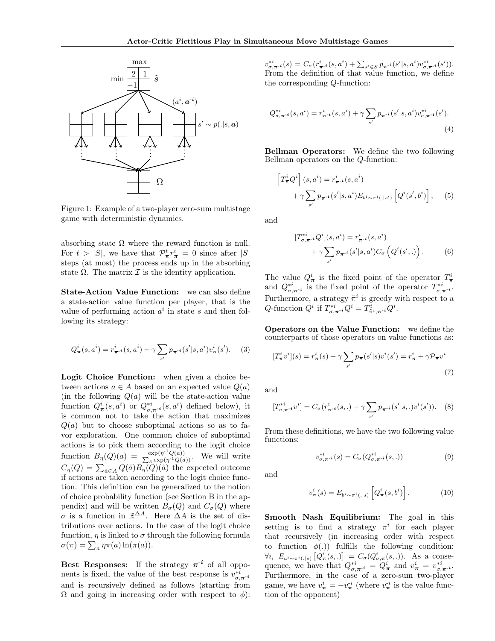

Figure 1: Example of a two-player zero-sum multistage game with deterministic dynamics.

absorbing state  $\Omega$  where the reward function is null. For  $t > |S|$ , we have that  $\mathcal{P}^t_{\pi} r^i_{\pi} = 0$  since after  $|S|$ steps (at most) the process ends up in the absorbing state  $\Omega$ . The matrix  $\mathcal I$  is the identity application.

State-Action Value Function: we can also define a state-action value function per player, that is the value of performing action  $a^i$  in state s and then following its strategy:

$$
Q_{\pi}^{i}(s, a^{i}) = r_{\pi^{-i}}^{i}(s, a^{i}) + \gamma \sum_{s'} p_{\pi^{-i}}(s'|s, a^{i}) v_{\pi}^{i}(s'). \quad (3)
$$

Logit Choice Function: when given a choice between actions  $a \in A$  based on an expected value  $Q(a)$ (in the following  $Q(a)$  will be the state-action value function  $Q^i_{\pi}(s, a^i)$  or  $Q^{*i}_{\sigma, \pi^{-i}}(s, a^i)$  defined below), it is common not to take the action that maximizes  $Q(a)$  but to choose suboptimal actions so as to favor exploration. One common choice of suboptimal actions is to pick them according to the logit choice function  $B_{\eta}(Q)(a) = \frac{\exp(\eta^{-1}Q(a))}{\sum_{\tilde{a}} \exp(\eta^{-1}Q(\tilde{a}))}$ . We will write  $C_{\eta}(Q) = \sum_{\tilde{a} \in A} Q(\tilde{a}) B_{\eta}(Q)(\tilde{a})$  the expected outcome if actions are taken according to the logit choice function. This definition can be generalized to the notion of choice probability function (see Section B in the appendix) and will be written  $B_{\sigma}(Q)$  and  $C_{\sigma}(Q)$  where  $\sigma$  is a function in  $\mathbb{R}^{\Delta A}$ . Here  $\Delta A$  is the set of distributions over actions. In the case of the logit choice function,  $\eta$  is linked to  $\sigma$  through the following formula  $\sigma(\pi) = \sum_a \eta \pi(a) \ln(\pi(a)).$ 

Best Responses: If the strategy  $\pi^{-i}$  of all opponents is fixed, the value of the best response is  $v_{\sigma,\pi-i}^{*i}$ and is recursively defined as follows (starting from  $Ω$  and going in increasing order with respect to  $φ$ ):

 $v_{\sigma,\pi^{-i}}^{*i}(s) = C_{\sigma}(r_{\pi^{-i}}^{i}(s, a^{i}) + \sum_{s' \in S} p_{\pi^{-i}}(s' | s, a^{i}) v_{\sigma,\pi^{-i}}^{*i}(s')).$ From the definition of that value function, we define the corresponding Q-function:

$$
Q_{\sigma,\pi^{-i}}^{*i}(s,a^i) = r_{\pi^{-i}}^i(s,a^i) + \gamma \sum_{s'} p_{\pi^{-i}}(s'|s,a^i) v_{\sigma,\pi^{-i}}^{*i}(s').
$$
\n(4)

Bellman Operators: We define the two following Bellman operators on the Q-function:

$$
\begin{aligned} \left[T_{\pi}^{i}Q^{i}\right](s,a^{i}) &= r_{\pi^{-i}}^{i}(s,a^{i})\\ &+ \gamma \sum_{s'} p_{\pi^{-i}}(s'|s,a^{i}) E_{b^{i} \sim \pi^{i}(.|s')} \left[Q^{i}(s',b^{i})\right],\end{aligned} \tag{5}
$$

and

$$
[T_{\sigma,\pi^{-i}}^{*i}Q^{i}](s,a^{i}) = r_{\pi^{-i}}^{i}(s,a^{i}) + \gamma \sum_{s'} p_{\pi^{-i}}(s'|s,a^{i}) C_{\sigma}\left(Q^{i}(s',.)\right).
$$
 (6)

The value  $Q^i_{\boldsymbol{\pi}}$  is the fixed point of the operator  $T^i_{\boldsymbol{\pi}}$  and  $Q^{*i}_{\boldsymbol{\sigma},\boldsymbol{\pi}^{-i}}$  is the fixed point of the operator  $T^{*i}_{\boldsymbol{\sigma},\boldsymbol{\pi}^{-i}}$ . Furthermore, a strategy  $\tilde{\pi}^i$  is greedy with respect to a Q-function  $Q^i$  if  $T^{*i}_{\sigma,\pi^{-i}}Q^i = T^i_{\tilde{\pi}^i,\pi^{-i}}Q^i$ .

Operators on the Value Function: we define the counterparts of those operators on value functions as:

$$
[T^i_{\pi}v^i](s) = r^i_{\pi}(s) + \gamma \sum_{s'} p_{\pi}(s'|s)v^i(s') = r^i_{\pi} + \gamma \mathcal{P}_{\pi}v^i
$$
\n(7)

and

$$
[T_{\sigma,\pi^{-i}}^{*i}v^{i}] = C_{\sigma}(r_{\pi^{-i}}^{i}(s,.) + \gamma \sum_{s'} p_{\pi^{-i}}(s'|s,.)v^{i}(s')). \quad (8)
$$

From these definitions, we have the two following value functions:

$$
v_{\sigma,\pi^{-i}}^{*i}(s) = C_{\sigma}(Q_{\sigma,\pi^{-i}}^{*i}(s,.))
$$
\n(9)

and

$$
v_{\boldsymbol{\pi}}^i(s) = E_{b^i \sim \pi^i(.|s)} \left[ Q_{\boldsymbol{\pi}}^i(s, b^i) \right]. \tag{10}
$$

Smooth Nash Equilibrium: The goal in this setting is to find a strategy  $\pi^{i}$  for each player that recursively (in increasing order with respect to function  $\phi(.)$  fulfills the following condition:  $\forall i, E_{a^i \sim \pi^i(.|s)} [Q^i_{\pi}(s,.)] = C_{\sigma}(Q^i_{\sigma,\pi}(s,.)).$  As a consequence, we have that  $Q_{\sigma,\pi^{-i}}^{*i} = Q_{\pi}^i$  and  $v_{\pi}^i = v_{\sigma,\pi^{-i}}^{*i}$ . Furthermore, in the case of a zero-sum two-player game, we have  $v^i_{\pi} = -v^{i}_{\pi}$  (where  $v^{i}_{\pi}$  is the value function of the opponent)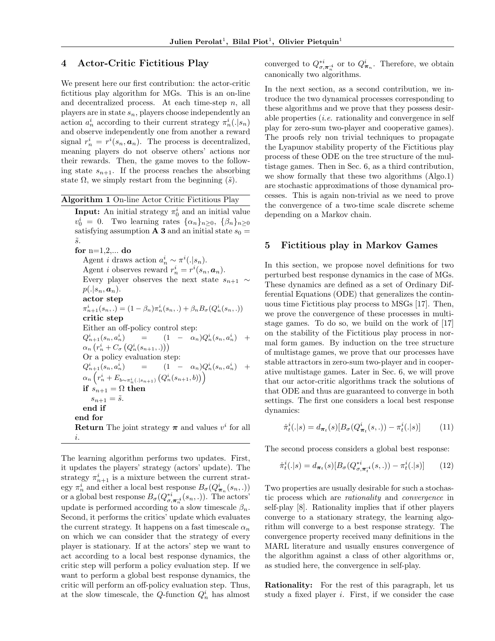#### 4 Actor-Critic Fictitious Play

We present here our first contribution: the actor-critic fictitious play algorithm for MGs. This is an on-line and decentralized process. At each time-step  $n$ , all players are in state  $s_n$ , players choose independently an action  $a_n^i$  according to their current strategy  $\pi_n^i(.|s_n)$ and observe independently one from another a reward signal  $r_n^i = r^i(s_n, \mathbf{a}_n)$ . The process is decentralized, meaning players do not observe others' actions nor their rewards. Then, the game moves to the following state  $s_{n+1}$ . If the process reaches the absorbing state  $\Omega$ , we simply restart from the beginning  $(\tilde{s})$ .

Algorithm 1 On-line Actor Critic Fictitious Play **Input:** An initial strategy  $\pi_0^i$  and an initial value  $v_0^i = 0$ . Two learning rates  $\{\alpha_n\}_{n\geq 0}$ ,  $\{\beta_n\}_{n\geq 0}$ satisfying assumption **A 3** and an initial state  $s_0 =$  $\tilde{s}$ . for  $n=1,2,...$  do Agent *i* draws action  $a_n^i \sim \pi^i(.|s_n)$ . Agent *i* observes reward  $r_n^i = r^i(s_n, \mathbf{a}_n)$ . Every player observes the next state  $s_{n+1} \sim$  $p(.|s_n, a_n).$ actor step  $\pi_{n+1}^i(s_n,.) = (1 - \beta_n)\pi_n^i(s_n,.) + \beta_n B_{\sigma}(Q_n^i(s_n, .))$ critic step Either an off-policy control step:  $Q_{n+1}^i(s_n,a_r^i$  $\binom{i}{n} = (1 - \alpha_n) Q_n^i(s_n, a_n^i) +$  $\alpha_n\left(r_n^i+C_\sigma\left(Q_n^i(s_{n+1},.)\right)\right)$ Or a policy evaluation step:  $Q_{n+1}^i(s_n,a_r^i$  $n^i$ ) =  $(1 - \alpha_n) Q_n^i (s_n, a_n^i) +$  $\alpha_n\left(r_n^i+E_{b\sim\pi_n^i(.|s_{n+1})}\left(Q_n^i(s_{n+1},b)\right)\right)$ if  $s_{n+1} = \Omega$  then  $s_{n+1} = \tilde{s}.$ end if end for **Return** The joint strategy  $\pi$  and values  $v^i$  for all i.

The learning algorithm performs two updates. First, it updates the players' strategy (actors' update). The strategy  $\pi_{n+1}^i$  is a mixture between the current strategy  $\pi_n^i$  and either a local best response  $B_{\sigma}(Q_{\boldsymbol{\pi}_n}^i(s_n, .))$ or a global best response  $B_{\sigma}(Q_{\sigma,\pi_n^{-i}}^{*i}(s_n,.))$ . The actors' update is performed according to a slow timescale  $\beta_n$ . Second, it performs the critics' update which evaluates the current strategy. It happens on a fast timescale  $\alpha_n$ on which we can consider that the strategy of every player is stationary. If at the actors' step we want to act according to a local best response dynamics, the critic step will perform a policy evaluation step. If we want to perform a global best response dynamics, the critic will perform an off-policy evaluation step. Thus, at the slow timescale, the Q-function  $Q_n^i$  has almost

converged to  $Q^{*i}_{\sigma,\pi^{*i}_{n}}$  or to  $Q^{i}_{\pi_{n}}$ . Therefore, we obtain canonically two algorithms.

In the next section, as a second contribution, we introduce the two dynamical processes corresponding to these algorithms and we prove that they possess desirable properties  $(i.e.$  rationality and convergence in self play for zero-sum two-player and cooperative games). The proofs rely non trivial techniques to propagate the Lyapunov stability property of the Fictitious play process of these ODE on the tree structure of the multistage games. Then in Sec. 6, as a third contribution, we show formally that these two algorithms (Algo.1) are stochastic approximations of those dynamical processes. This is again non-trivial as we need to prove the convergence of a two-time scale discrete scheme depending on a Markov chain.

#### 5 Fictitious play in Markov Games

In this section, we propose novel definitions for two perturbed best response dynamics in the case of MGs. These dynamics are defined as a set of Ordinary Differential Equations (ODE) that generalizes the continuous time Fictitious play process to MSGs [17]. Then, we prove the convergence of these processes in multistage games. To do so, we build on the work of [17] on the stability of the Fictitious play process in normal form games. By induction on the tree structure of multistage games, we prove that our processes have stable attractors in zero-sum two-player and in cooperative multistage games. Later in Sec. 6, we will prove that our actor-critic algorithms track the solutions of that ODE and thus are guaranteed to converge in both settings. The first one considers a local best response dynamics:

$$
\dot{\pi}_t^i(.|s) = d_{\pi_t}(s)[B_{\sigma}(Q_{\pi_t}^i(s,.)) - \pi_t^i(.|s)] \tag{11}
$$

The second process considers a global best response:

$$
\dot{\pi}_t^i(.|s) = d_{\pi_t}(s)[B_{\sigma}(Q_{\sigma,\pi_t^{-i}}^{*i}(s,.)) - \pi_t^{i}(.|s)] \tag{12}
$$

Two properties are usually desirable for such a stochastic process which are rationality and convergence in self-play [8]. Rationality implies that if other players converge to a stationary strategy, the learning algorithm will converge to a best response strategy. The convergence property received many definitions in the MARL literature and usually ensures convergence of the algorithm against a class of other algorithms or, as studied here, the convergence in self-play.

Rationality: For the rest of this paragraph, let us study a fixed player  $i$ . First, if we consider the case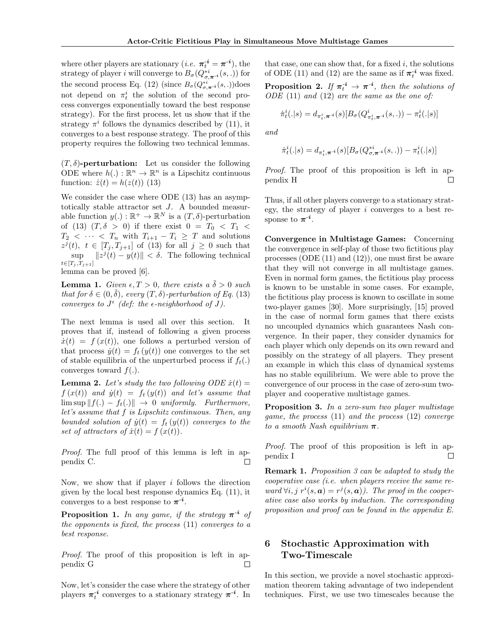where other players are stationary  $(i.e. \ \boldsymbol{\pi}_t^{-i} = \boldsymbol{\pi}^{-i}),$  the strategy of player *i* will converge to  $B_{\sigma}(Q_{\sigma,\pi^{-i}}^{*i}(s,.))$  for the second process Eq. (12) (since  $B_{\sigma}(Q_{\sigma,\pi^{-i}}^{*i}(s,.))$ does not depend on  $\pi_t^i$  the solution of the second process converges exponentially toward the best response strategy). For the first process, let us show that if the strategy  $\pi^{i}$  follows the dynamics described by (11), it converges to a best response strategy. The proof of this property requires the following two technical lemmas.

 $(T, \delta)$ -perturbation: Let us consider the following ODE where  $h(.) : \mathbb{R}^n \to \mathbb{R}^n$  is a Lipschitz continuous function:  $\dot{z}(t) = h(z(t))$  (13)

We consider the case where ODE (13) has an asymptotically stable attractor set J. A bounded measurable function  $y(.) : \mathbb{R}^+ \to \mathbb{R}^N$  is a  $(T, \delta)$ -perturbation of (13)  $(T, \delta > 0)$  if there exist  $0 = T_0 < T_1 <$  $T_2 < \cdots < T_n$  with  $T_{i+1} - T_i \geq T$  and solutions  $z^{j}(t), t \in [T_{j}, T_{j+1}]$  of (13) for all  $j \geq 0$  such that  $\sup_{x \in \mathcal{X}} \|z^{j}(t) - y(t)\| < \delta$ . The following technical  $t \in [T_j, T_{j+1}]$ 

lemma can be proved [6].

**Lemma 1.** Given  $\epsilon, T > 0$ , there exists a  $\delta > 0$  such that for  $\delta \in (0, \delta)$ , every  $(T, \delta)$ -perturbation of Eq. (13) converges to  $J^{\epsilon}$  (def: the  $\epsilon$ -neighborhood of J).

The next lemma is used all over this section. It proves that if, instead of following a given process  $\dot{x}(t) = f(x(t))$ , one follows a perturbed version of that process  $\dot{y}(t) = f_t(y(t))$  one converges to the set of stable equilibria of the unperturbed process if  $f_t(.)$ converges toward  $f(.)$ .

**Lemma 2.** Let's study the two following  $ODE \dot{x}(t) =$  $f(x(t))$  and  $\dot{y}(t) = f_t(y(t))$  and let's assume that  $\limsup ||f(.) - f_t(.)|| \rightarrow 0$  uniformly. Furthermore, let's assume that f is Lipschitz continuous. Then, any bounded solution of  $\dot{y}(t) = f_t(y(t))$  converges to the set of attractors of  $\dot{x}(t) = f(x(t)).$ 

Proof. The full proof of this lemma is left in appendix C.  $\Box$ 

Now, we show that if player  $i$  follows the direction given by the local best response dynamics Eq. (11), it converges to a best response to  $\pi^{-i}$ .

**Proposition 1.** In any game, if the strategy  $\pi^{-i}$  of the opponents is fixed, the process  $(11)$  converges to a best response.

Proof. The proof of this proposition is left in appendix G  $\Box$ 

Now, let's consider the case where the strategy of other players  $\pi_t^{-i}$  converges to a stationary strategy  $\pi^{-i}$ . In

that case, one can show that, for a fixed  $i$ , the solutions of ODE (11) and (12) are the same as if  $\pi_t^{-i}$  was fixed.

**Proposition 2.** If  $\pi_t^{-i} \to \pi^{-i}$ , then the solutions of  $ODE (11)$  and  $(12)$  are the same as the one of:

$$
\dot{\pi}_t^i(.|s) = d_{\pi_t^i, \pi^{-i}}(s) [B_{\sigma}(Q_{\pi_t^i, \pi^{-i}}^i(s,.)) - \pi_t^i(.|s)]
$$

and

$$
\dot{\pi}_t^i(.|s) = d_{\pi_t^i, \boldsymbol{\pi}^{-i}}(s)[B_{\sigma}(Q_{\sigma, \boldsymbol{\pi}^{-i}}^{*i}(s,.)) - \pi_t^i(.|s)]
$$

Proof. The proof of this proposition is left in appendix H П

Thus, if all other players converge to a stationary strategy, the strategy of player  $i$  converges to a best response to  $\pi^{-i}$ .

Convergence in Multistage Games: Concerning the convergence in self-play of those two fictitious play processes (ODE (11) and (12)), one must first be aware that they will not converge in all multistage games. Even in normal form games, the fictitious play process is known to be unstable in some cases. For example, the fictitious play process is known to oscillate in some two-player games [30]. More surprisingly, [15] proved in the case of normal form games that there exists no uncoupled dynamics which guarantees Nash convergence. In their paper, they consider dynamics for each player which only depends on its own reward and possibly on the strategy of all players. They present an example in which this class of dynamical systems has no stable equilibrium. We were able to prove the convergence of our process in the case of zero-sum twoplayer and cooperative multistage games.

Proposition 3. In a zero-sum two player multistage game, the process (11) and the process (12) converge to a smooth Nash equilibrium  $\pi$ .

Proof. The proof of this proposition is left in appendix I  $\Box$ 

Remark 1. Proposition 3 can be adapted to study the cooperative case (i.e. when players receive the same reward  $\forall i, j \ r^i(s, a) = r^j(s, a)$ . The proof in the cooperative case also works by induction. The corresponding proposition and proof can be found in the appendix E.

# 6 Stochastic Approximation with Two-Timescale

In this section, we provide a novel stochastic approximation theorem taking advantage of two independent techniques. First, we use two timescales because the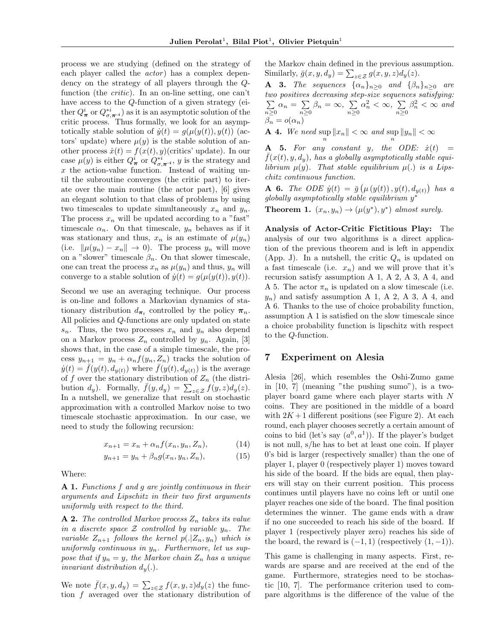process we are studying (defined on the strategy of each player called the *actor*) has a complex dependency on the strategy of all players through the Qfunction (the critic). In an on-line setting, one can't have access to the Q-function of a given strategy (either  $Q^i_{\boldsymbol{\pi}}$  or  $Q^{*i}_{\sigma,\boldsymbol{\pi}^{-i}}$ ) as it is an asymptotic solution of the critic process. Thus formally, we look for an asymptotically stable solution of  $\dot{y}(t) = g(\mu(y(t)), y(t))$  (actors' update) where  $\mu(y)$  is the stable solution of another process  $\dot{x}(t) = f(x(t), y)$ (critics' update). In our case  $\mu(y)$  is either  $Q^i_{\boldsymbol{\pi}}$  or  $Q^{*i}_{\boldsymbol{\sigma}, \boldsymbol{\pi}^{-i}}$ , y is the strategy and x the action-value function. Instead of waiting until the subroutine converges (the critic part) to iterate over the main routine (the actor part), [6] gives an elegant solution to that class of problems by using two timescales to update simultaneously  $x_n$  and  $y_n$ . The process  $x_n$  will be updated according to a "fast" timescale  $\alpha_n$ . On that timescale,  $y_n$  behaves as if it was stationary and thus,  $x_n$  is an estimate of  $\mu(y_n)$ (i.e.  $\|\mu(y_n) - x_n\| \to 0$ ). The process  $y_n$  will move on a "slower" timescale  $\beta_n$ . On that slower timescale, one can treat the process  $x_n$  as  $\mu(y_n)$  and thus,  $y_n$  will converge to a stable solution of  $\dot{y}(t) = g(\mu(y(t)), y(t)).$ 

Second we use an averaging technique. Our process is on-line and follows a Markovian dynamics of stationary distribution  $d_{\pi_t}$  controlled by the policy  $\pi_n$ . All policies and Q-functions are only updated on state  $s_n$ . Thus, the two processes  $x_n$  and  $y_n$  also depend on a Markov process  $Z_n$  controlled by  $y_n$ . Again, [3] shows that, in the case of a simple timescale, the process  $y_{n+1} = y_n + \alpha_n f(y_n, Z_n)$  tracks the solution of  $\dot{y}(t) = \bar{f}(y(t), d_{y(t)})$  where  $\bar{f}(y(t), d_{y(t)})$  is the average of f over the stationary distribution of  $Z_n$  (the distribution  $d_y$ ). Formally,  $\bar{f}(y, d_y) = \sum_{z \in \mathcal{Z}} f(y, z) d_y(z)$ . In a nutshell, we generalize that result on stochastic approximation with a controlled Markov noise to two timescale stochastic approximation. In our case, we need to study the following recursion:

$$
x_{n+1} = x_n + \alpha_n f(x_n, y_n, Z_n), \tag{14}
$$

$$
y_{n+1} = y_n + \beta_n g(x_n, y_n, Z_n), \tag{15}
$$

Where:

A 1. Functions f and g are jointly continuous in their arguments and Lipschitz in their two first arguments uniformly with respect to the third.

**A 2.** The controlled Markov process  $Z_n$  takes its value in a discrete space  $\mathcal Z$  controlled by variable  $y_n$ . The variable  $Z_{n+1}$  follows the kernel  $p(.|Z_n, y_n)$  which is uniformly continuous in  $y_n$ . Furthermore, let us suppose that if  $y_n = y$ , the Markov chain  $Z_n$  has a unique invariant distribution  $d_u(.)$ .

We note  $\bar{f}(x, y, dy) = \sum_{z \in \mathcal{Z}} f(x, y, z) d_y(z)$  the function f averaged over the stationary distribution of the Markov chain defined in the previous assumption. Similarly,  $\bar{g}(x, y, d_y) = \sum_{z \in \mathcal{Z}} g(x, y, z) d_y(z)$ .

**A** 3. The sequences  $\{\alpha_n\}_{n\geq 0}$  and  $\{\beta_n\}_{n\geq 0}$  are two positives decreasing step-size sequences satisfying:  $\sum$  $n\geq 0$  $\alpha_n = \sum$  $\sum_{n\geq 0} \beta_n = \infty$ ,  $\sum_{n\geq 0}$  $\alpha_n^2 < \infty$ ,  $\sum_{n\geq 0}$  $\beta_n^2 < \infty$  and  $\beta_n = o(\alpha_n)$ 

**A 4.** We need  $\sup_n ||x_n|| < \infty$  and  $\sup_n ||y_n|| < \infty$ 

**A** 5. For any constant y, the ODE:  $\dot{x}(t) = \bar{f}(x(t), y, d_y)$ , has a globally asymptotically stable equilibrium  $\mu(y)$ . That stable equilibrium  $\mu(.)$  is a Lipschitz continuous function.

**A** 6. The ODE  $\dot{y}(t) = \bar{g}(\mu(y(t)), y(t), d_{y(t)})$  has a globally asymptotically stable equilibrium y∗

**Theorem 1.**  $(x_n, y_n) \rightarrow (\mu(y^*), y^*)$  almost surely.

Analysis of Actor-Critic Fictitious Play: The analysis of our two algorithms is a direct application of the previous theorem and is left in appendix (App. J). In a nutshell, the critic  $Q_n$  is updated on a fast timescale (i.e.  $x_n$ ) and we will prove that it's recursion satisfy assumption A 1, A 2, A 3, A 4, and A 5. The actor  $\pi_n$  is updated on a slow timescale (i.e.  $y_n$ ) and satisfy assumption A 1, A 2, A 3, A 4, and A 6. Thanks to the use of choice probability function, assumption A 1 is satisfied on the slow timescale since a choice probability function is lipschitz with respect to the Q-function.

#### 7 Experiment on Alesia

Alesia [26], which resembles the Oshi-Zumo game in [10, 7] (meaning "the pushing sumo"), is a twoplayer board game where each player starts with N coins. They are positioned in the middle of a board with  $2K+1$  different positions (see Figure 2). At each round, each player chooses secretly a certain amount of coins to bid (let's say  $(a^0, a^1)$ ). If the player's budget is not null, s/he has to bet at least one coin. If player 0's bid is larger (respectively smaller) than the one of player 1, player 0 (respectively player 1) moves toward his side of the board. If the bids are equal, then players will stay on their current position. This process continues until players have no coins left or until one player reaches one side of the board. The final position determines the winner. The game ends with a draw if no one succeeded to reach his side of the board. If player 1 (respectively player zero) reaches his side of the board, the reward is  $(-1, 1)$  (respectively  $(1, -1)$ ).

This game is challenging in many aspects. First, rewards are sparse and are received at the end of the game. Furthermore, strategies need to be stochastic [10, 7]. The performance criterion used to compare algorithms is the difference of the value of the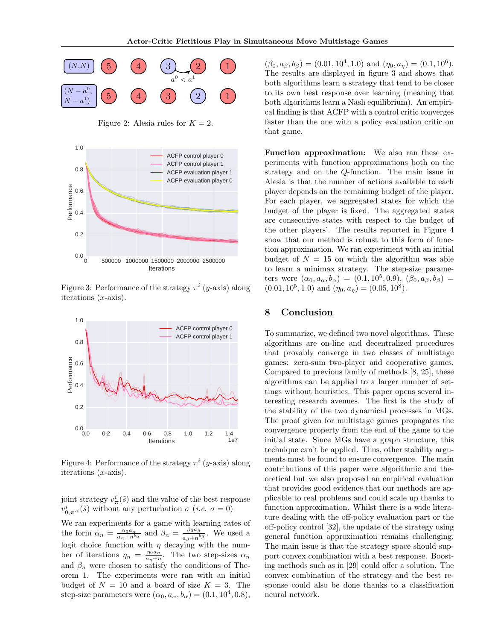

Figure 2: Alesia rules for  $K = 2$ .



Figure 3: Performance of the strategy  $\pi^{i}$  (y-axis) along iterations  $(x\text{-axis})$ .



Figure 4: Performance of the strategy  $\pi^{i}$  (*y*-axis) along iterations  $(x\text{-axis})$ .

joint strategy  $v^i_{\pi}(\tilde{s})$  and the value of the best response  $v^i_{0,\pi^{-i}}(\tilde{s})$  without any perturbation  $\sigma$  (*i.e.*  $\sigma = 0$ )

We ran experiments for a game with learning rates of the form  $\alpha_n = \frac{\alpha_0 a_\alpha}{a_\alpha + n^{b_\alpha}}$  and  $\beta_n = \frac{\beta_0 a_\beta}{a_\beta + n^{b_\beta}}$ . We used a logit choice function with  $\eta$  decaying with the number of iterations  $\eta_n = \frac{\eta_0 a_n}{a_n + n}$ . The two step-sizes  $\alpha_n$ and  $\beta_n$  were chosen to satisfy the conditions of Theorem 1. The experiments were ran with an initial budget of  $N = 10$  and a board of size  $K = 3$ . The step-size parameters were  $(\alpha_0, a_\alpha, b_\alpha) = (0.1, 10^4, 0.8),$ 

 $(\beta_0, a_\beta, b_\beta) = (0.01, 10^4, 1.0)$  and  $(\eta_0, a_\eta) = (0.1, 10^6)$ . The results are displayed in figure 3 and shows that both algorithms learn a strategy that tend to be closer to its own best response over learning (meaning that both algorithms learn a Nash equilibrium). An empirical finding is that ACFP with a control critic converges faster than the one with a policy evaluation critic on that game.

Function approximation: We also ran these experiments with function approximations both on the strategy and on the Q-function. The main issue in Alesia is that the number of actions available to each player depends on the remaining budget of the player. For each player, we aggregated states for which the budget of the player is fixed. The aggregated states are consecutive states with respect to the budget of the other players'. The results reported in Figure 4 show that our method is robust to this form of function approximation. We ran experiment with an initial budget of  $N = 15$  on which the algorithm was able to learn a minimax strategy. The step-size parameters were  $(\alpha_0, a_\alpha, b_\alpha) = (0.1, 10^5, 0.9), (\beta_0, a_\beta, b_\beta) =$  $(0.01, 10^5, 1.0)$  and  $(\eta_0, a_n) = (0.05, 10^8)$ .

## 8 Conclusion

To summarize, we defined two novel algorithms. These algorithms are on-line and decentralized procedures that provably converge in two classes of multistage games: zero-sum two-player and cooperative games. Compared to previous family of methods [8, 25], these algorithms can be applied to a larger number of settings without heuristics. This paper opens several interesting research avenues. The first is the study of the stability of the two dynamical processes in MGs. The proof given for multistage games propagates the convergence property from the end of the game to the initial state. Since MGs have a graph structure, this technique can't be applied. Thus, other stability arguments must be found to ensure convergence. The main contributions of this paper were algorithmic and theoretical but we also proposed an empirical evaluation that provides good evidence that our methods are applicable to real problems and could scale up thanks to function approximation. Whilst there is a wide literature dealing with the off-policy evaluation part or the off-policy control [32], the update of the strategy using general function approximation remains challenging. The main issue is that the strategy space should support convex combination with a best response. Boosting methods such as in [29] could offer a solution. The convex combination of the strategy and the best response could also be done thanks to a classification neural network.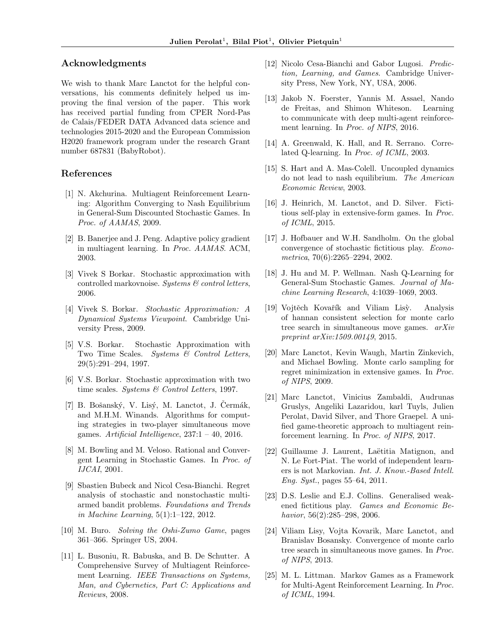#### Acknowledgments

We wish to thank Marc Lanctot for the helpful conversations, his comments definitely helped us improving the final version of the paper. This work has received partial funding from CPER Nord-Pas de Calais/FEDER DATA Advanced data science and technologies 2015-2020 and the European Commission H2020 framework program under the research Grant number 687831 (BabyRobot).

#### References

- [1] N. Akchurina. Multiagent Reinforcement Learning: Algorithm Converging to Nash Equilibrium in General-Sum Discounted Stochastic Games. In Proc. of AAMAS, 2009.
- [2] B. Banerjee and J. Peng. Adaptive policy gradient in multiagent learning. In Proc. AAMAS. ACM, 2003.
- [3] Vivek S Borkar. Stochastic approximation with controlled markovnoise. Systems  $\mathcal C$  control letters, 2006.
- [4] Vivek S. Borkar. Stochastic Approximation: A Dynamical Systems Viewpoint. Cambridge University Press, 2009.
- [5] V.S. Borkar. Stochastic Approximation with Two Time Scales. Systems & Control Letters, 29(5):291–294, 1997.
- [6] V.S. Borkar. Stochastic approximation with two time scales. Systems  $\mathcal C$  Control Letters, 1997.
- $[7]$  B. Bošanský, V. Lisý, M. Lanctot, J. Čermák, and M.H.M. Winands. Algorithms for computing strategies in two-player simultaneous move games. Artificial Intelligence,  $237:1 - 40$ ,  $2016$ .
- [8] M. Bowling and M. Veloso. Rational and Convergent Learning in Stochastic Games. In Proc. of IJCAI, 2001.
- [9] Sbastien Bubeck and Nicol Cesa-Bianchi. Regret analysis of stochastic and nonstochastic multiarmed bandit problems. Foundations and Trends in Machine Learning, 5(1):1–122, 2012.
- [10] M. Buro. Solving the Oshi-Zumo Game, pages 361–366. Springer US, 2004.
- [11] L. Busoniu, R. Babuska, and B. De Schutter. A Comprehensive Survey of Multiagent Reinforcement Learning. IEEE Transactions on Systems, Man, and Cybernetics, Part C: Applications and Reviews, 2008.
- [12] Nicolo Cesa-Bianchi and Gabor Lugosi. Prediction, Learning, and Games. Cambridge University Press, New York, NY, USA, 2006.
- [13] Jakob N. Foerster, Yannis M. Assael, Nando de Freitas, and Shimon Whiteson. Learning to communicate with deep multi-agent reinforcement learning. In Proc. of NIPS, 2016.
- [14] A. Greenwald, K. Hall, and R. Serrano. Correlated Q-learning. In Proc. of ICML, 2003.
- [15] S. Hart and A. Mas-Colell. Uncoupled dynamics do not lead to nash equilibrium. The American Economic Review, 2003.
- [16] J. Heinrich, M. Lanctot, and D. Silver. Fictitious self-play in extensive-form games. In Proc. of ICML, 2015.
- [17] J. Hofbauer and W.H. Sandholm. On the global convergence of stochastic fictitious play. Econometrica, 70(6):2265–2294, 2002.
- [18] J. Hu and M. P. Wellman. Nash Q-Learning for General-Sum Stochastic Games. Journal of Machine Learning Research, 4:1039–1069, 2003.
- [19] Vojtěch Kovařík and Viliam Lisy. Analysis of hannan consistent selection for monte carlo tree search in simultaneous move games. arXiv preprint arXiv:1509.00149, 2015.
- [20] Marc Lanctot, Kevin Waugh, Martin Zinkevich, and Michael Bowling. Monte carlo sampling for regret minimization in extensive games. In Proc. of NIPS, 2009.
- [21] Marc Lanctot, Vinicius Zambaldi, Audrunas Gruslys, Angeliki Lazaridou, karl Tuyls, Julien Perolat, David Silver, and Thore Graepel. A unified game-theoretic approach to multiagent reinforcement learning. In Proc. of NIPS, 2017.
- [22] Guillaume J. Laurent, Laëtitia Matignon, and N. Le Fort-Piat. The world of independent learners is not Markovian. Int. J. Know.-Based Intell. Eng. Syst., pages 55–64, 2011.
- [23] D.S. Leslie and E.J. Collins. Generalised weakened fictitious play. Games and Economic Behavior, 56(2):285–298, 2006.
- [24] Viliam Lisy, Vojta Kovarik, Marc Lanctot, and Branislav Bosansky. Convergence of monte carlo tree search in simultaneous move games. In Proc. of NIPS, 2013.
- [25] M. L. Littman. Markov Games as a Framework for Multi-Agent Reinforcement Learning. In Proc. of ICML, 1994.